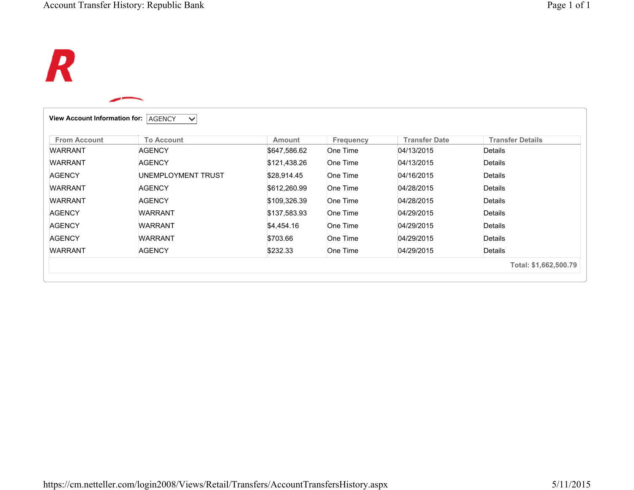## $\boldsymbol{R}$

| <b>From Account</b> | <b>To Account</b>  | Amount       | <b>Frequency</b> | <b>Transfer Date</b> | <b>Transfer Details</b> |
|---------------------|--------------------|--------------|------------------|----------------------|-------------------------|
| <b>WARRANT</b>      | <b>AGENCY</b>      | \$647,586.62 | One Time         | 04/13/2015           | Details                 |
| <b>WARRANT</b>      | <b>AGENCY</b>      | \$121,438.26 | One Time         | 04/13/2015           | Details                 |
| <b>AGENCY</b>       | UNEMPLOYMENT TRUST | \$28,914.45  | One Time         | 04/16/2015           | Details                 |
| <b>WARRANT</b>      | <b>AGENCY</b>      | \$612,260.99 | One Time         | 04/28/2015           | Details                 |
| <b>WARRANT</b>      | <b>AGENCY</b>      | \$109,326.39 | One Time         | 04/28/2015           | Details                 |
| <b>AGENCY</b>       | <b>WARRANT</b>     | \$137,583.93 | One Time         | 04/29/2015           | Details                 |
| <b>AGENCY</b>       | <b>WARRANT</b>     | \$4,454.16   | One Time         | 04/29/2015           | Details                 |
| <b>AGENCY</b>       | <b>WARRANT</b>     | \$703.66     | One Time         | 04/29/2015           | Details                 |
| <b>WARRANT</b>      | <b>AGENCY</b>      | \$232.33     | One Time         | 04/29/2015           | Details                 |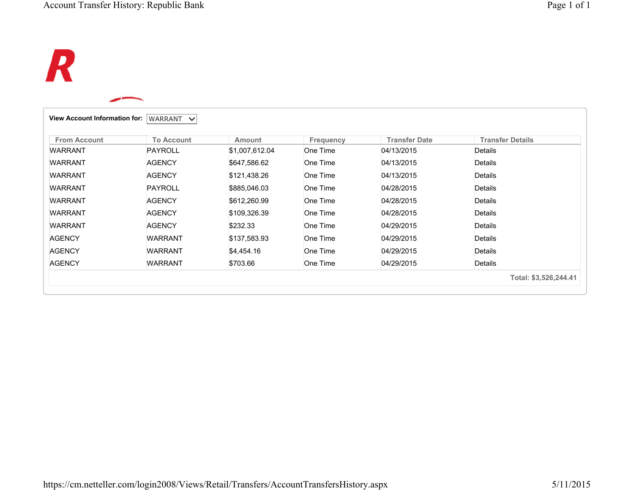# $\boldsymbol{R}$

| <b>From Account</b> | <b>To Account</b> | <b>Amount</b>  | <b>Frequency</b> | <b>Transfer Date</b> | <b>Transfer Details</b> |
|---------------------|-------------------|----------------|------------------|----------------------|-------------------------|
| <b>WARRANT</b>      | <b>PAYROLL</b>    | \$1,007,612.04 | One Time         | 04/13/2015           | Details                 |
| <b>WARRANT</b>      | <b>AGENCY</b>     | \$647,586.62   | One Time         | 04/13/2015           | Details                 |
| <b>WARRANT</b>      | <b>AGENCY</b>     | \$121,438.26   | One Time         | 04/13/2015           | Details                 |
| <b>WARRANT</b>      | <b>PAYROLL</b>    | \$885,046.03   | One Time         | 04/28/2015           | Details                 |
| <b>WARRANT</b>      | <b>AGENCY</b>     | \$612,260.99   | One Time         | 04/28/2015           | Details                 |
| <b>WARRANT</b>      | <b>AGENCY</b>     | \$109,326.39   | One Time         | 04/28/2015           | Details                 |
| <b>WARRANT</b>      | <b>AGENCY</b>     | \$232.33       | One Time         | 04/29/2015           | Details                 |
| <b>AGENCY</b>       | <b>WARRANT</b>    | \$137,583.93   | One Time         | 04/29/2015           | Details                 |
| <b>AGENCY</b>       | <b>WARRANT</b>    | \$4,454.16     | One Time         | 04/29/2015           | Details                 |
| <b>AGENCY</b>       | <b>WARRANT</b>    | \$703.66       | One Time         | 04/29/2015           | Details                 |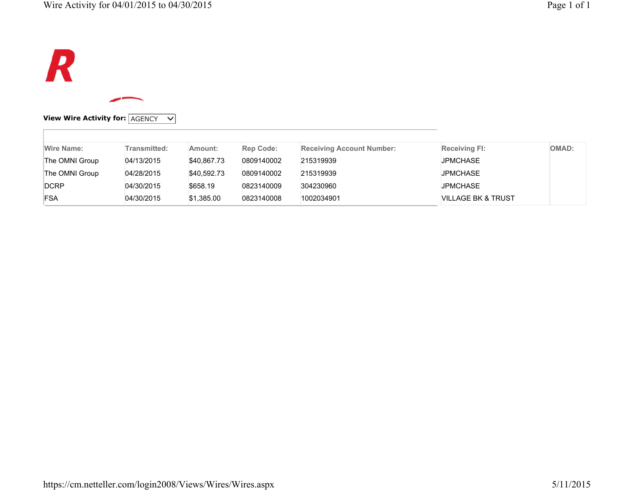

### **View Wire Activity for:** AGENCY  $\vee$

| Wire Name:     | Transmitted: | Amount:     | <b>Rep Code:</b> | <b>Receiving Account Number:</b> | <b>Receiving FI:</b>          | <b>OMAD:</b> |
|----------------|--------------|-------------|------------------|----------------------------------|-------------------------------|--------------|
| The OMNI Group | 04/13/2015   | \$40,867.73 | 0809140002       | 215319939                        | <b>JPMCHASE</b>               |              |
| The OMNI Group | 04/28/2015   | \$40.592.73 | 0809140002       | 215319939                        | <b>JPMCHASE</b>               |              |
| DCRP           | 04/30/2015   | \$658.19    | 0823140009       | 304230960                        | <b>JPMCHASE</b>               |              |
| <b>FSA</b>     | 04/30/2015   | \$1,385.00  | 0823140008       | 1002034901                       | <b>VILLAGE BK &amp; TRUST</b> |              |